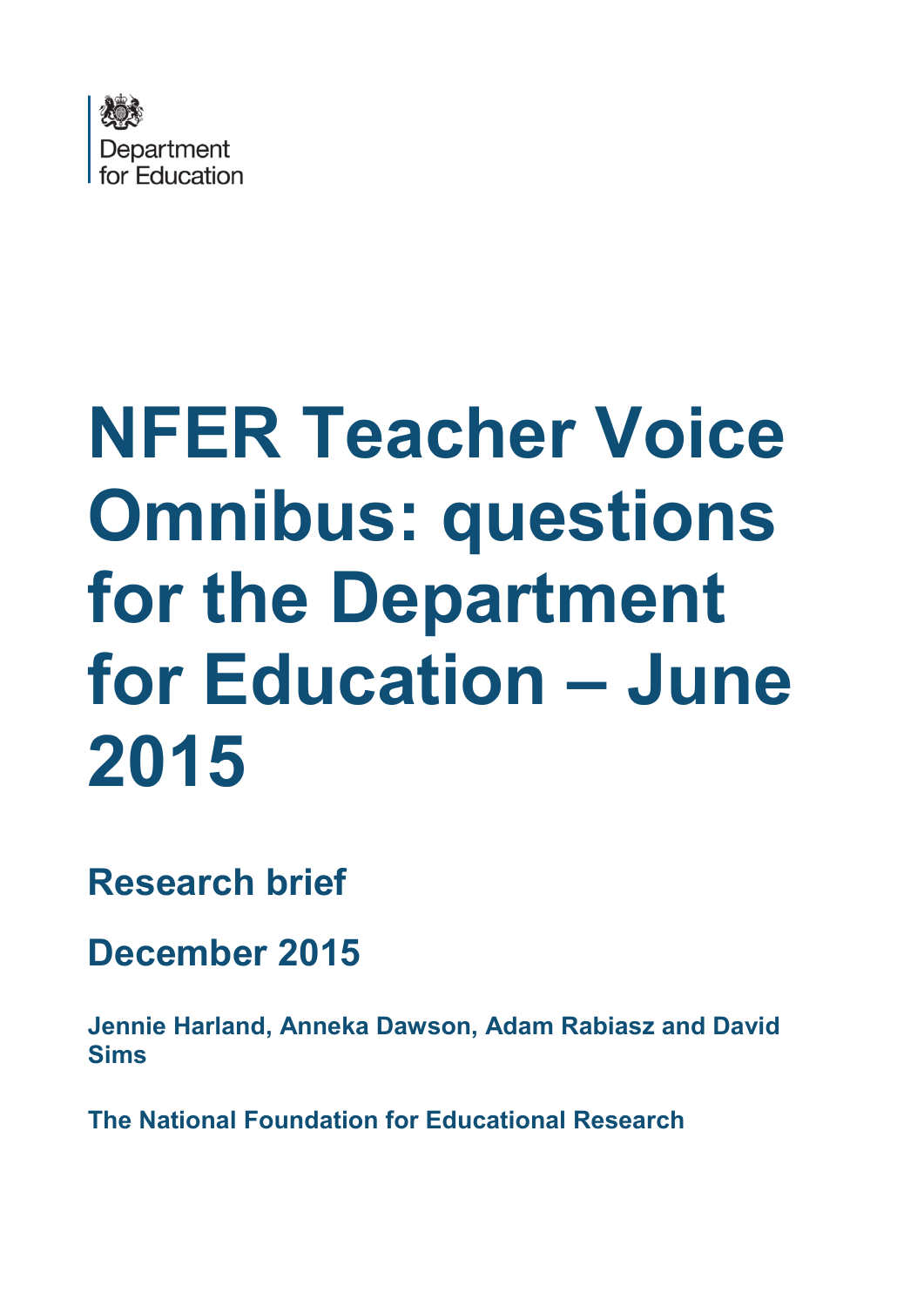

# **NFER Teacher Voice Omnibus: questions for the Department for Education – June 2015**

**Research brief**

**December 2015** 

<span id="page-0-0"></span>**Jennie Harland, Anneka Dawson, Adam Rabiasz and David Sims** 

<span id="page-0-1"></span>**The National Foundation for Educational Research**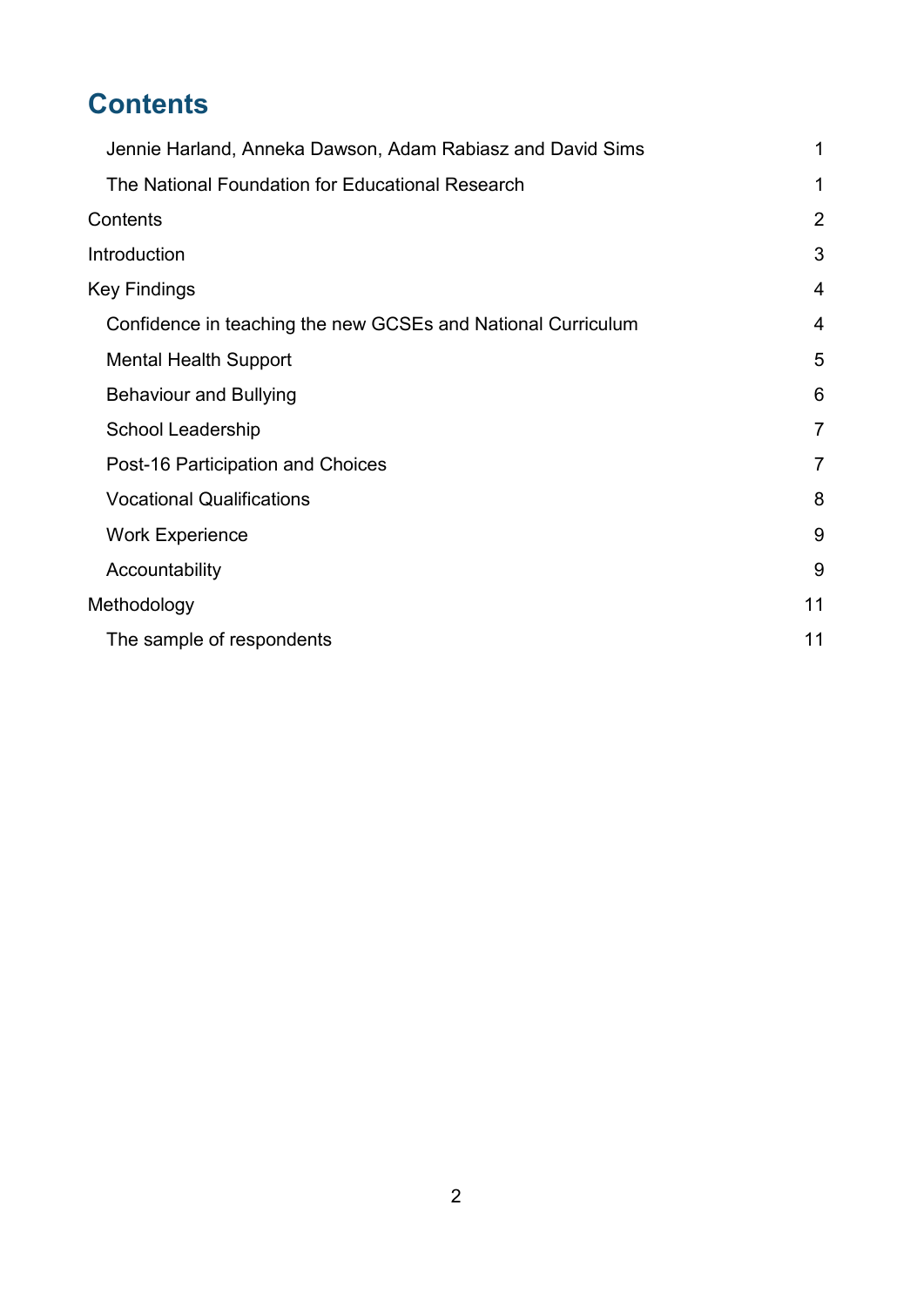# <span id="page-1-0"></span>**Contents**

| Jennie Harland, Anneka Dawson, Adam Rabiasz and David Sims   | 1              |
|--------------------------------------------------------------|----------------|
| The National Foundation for Educational Research             | 1              |
| Contents                                                     | 2              |
| Introduction                                                 | 3              |
| <b>Key Findings</b>                                          | 4              |
| Confidence in teaching the new GCSEs and National Curriculum | 4              |
| <b>Mental Health Support</b>                                 | 5              |
| <b>Behaviour and Bullying</b>                                | 6              |
| <b>School Leadership</b>                                     | $\overline{7}$ |
| Post-16 Participation and Choices                            | $\overline{7}$ |
| <b>Vocational Qualifications</b>                             | 8              |
| <b>Work Experience</b>                                       | 9              |
| Accountability                                               | 9              |
| Methodology                                                  | 11             |
| The sample of respondents                                    | 11             |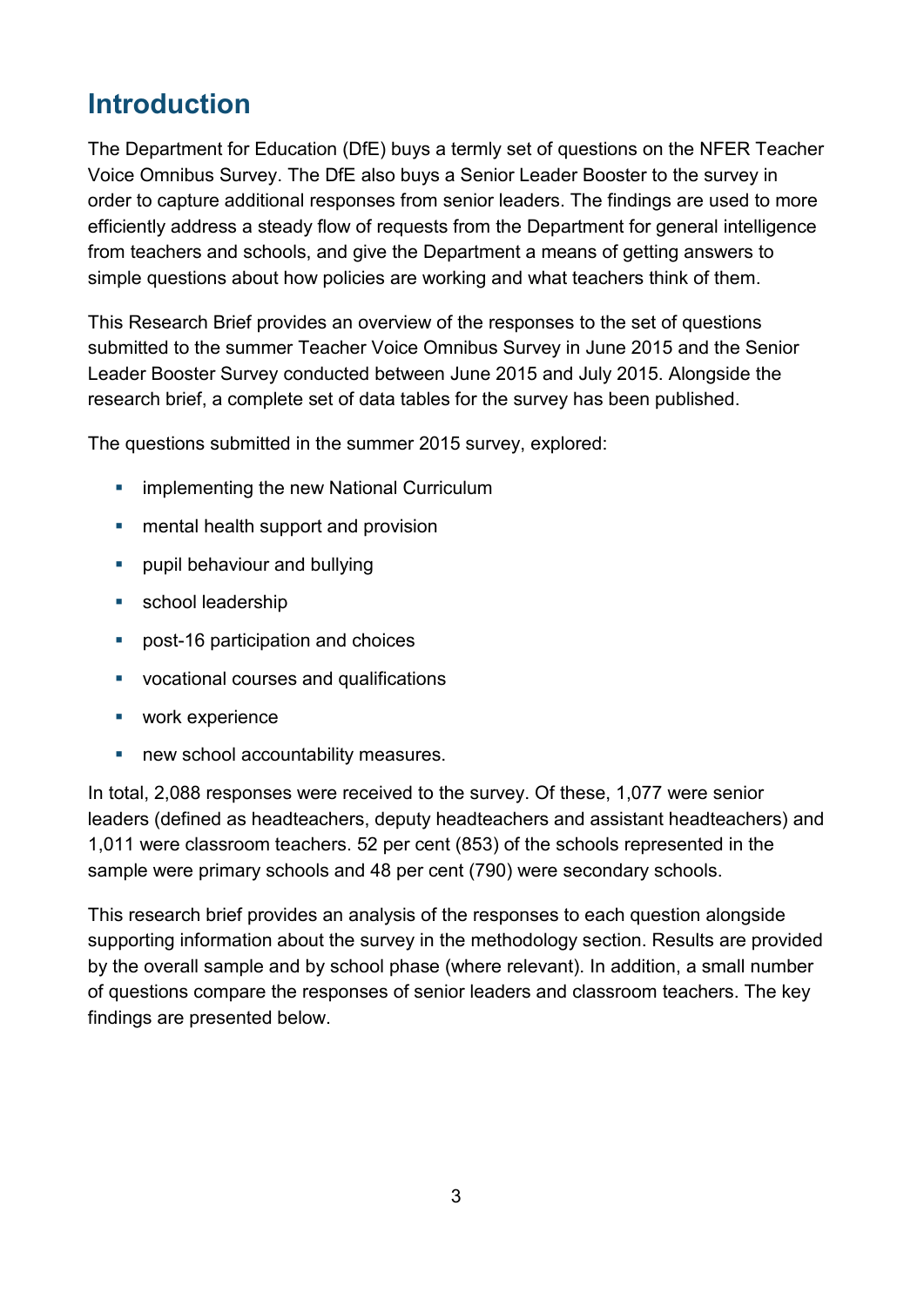## <span id="page-2-0"></span>**Introduction**

The Department for Education (DfE) buys a termly set of questions on the NFER Teacher Voice Omnibus Survey. The DfE also buys a Senior Leader Booster to the survey in order to capture additional responses from senior leaders. The findings are used to more efficiently address a steady flow of requests from the Department for general intelligence from teachers and schools, and give the Department a means of getting answers to simple questions about how policies are working and what teachers think of them.

This Research Brief provides an overview of the responses to the set of questions submitted to the summer Teacher Voice Omnibus Survey in June 2015 and the Senior Leader Booster Survey conducted between June 2015 and July 2015. Alongside the research brief, a complete set of data tables for the survey has been published.

The questions submitted in the summer 2015 survey, explored:

- **EXECUTE:** implementing the new National Curriculum
- **n** mental health support and provision
- **•** pupil behaviour and bullying
- **school leadership**
- post-16 participation and choices
- vocational courses and qualifications
- work experience
- **new school accountability measures.**

In total, 2,088 responses were received to the survey. Of these, 1,077 were senior leaders (defined as headteachers, deputy headteachers and assistant headteachers) and 1,011 were classroom teachers. 52 per cent (853) of the schools represented in the sample were primary schools and 48 per cent (790) were secondary schools.

This research brief provides an analysis of the responses to each question alongside supporting information about the survey in the methodology section. Results are provided by the overall sample and by school phase (where relevant). In addition, a small number of questions compare the responses of senior leaders and classroom teachers. The key findings are presented below.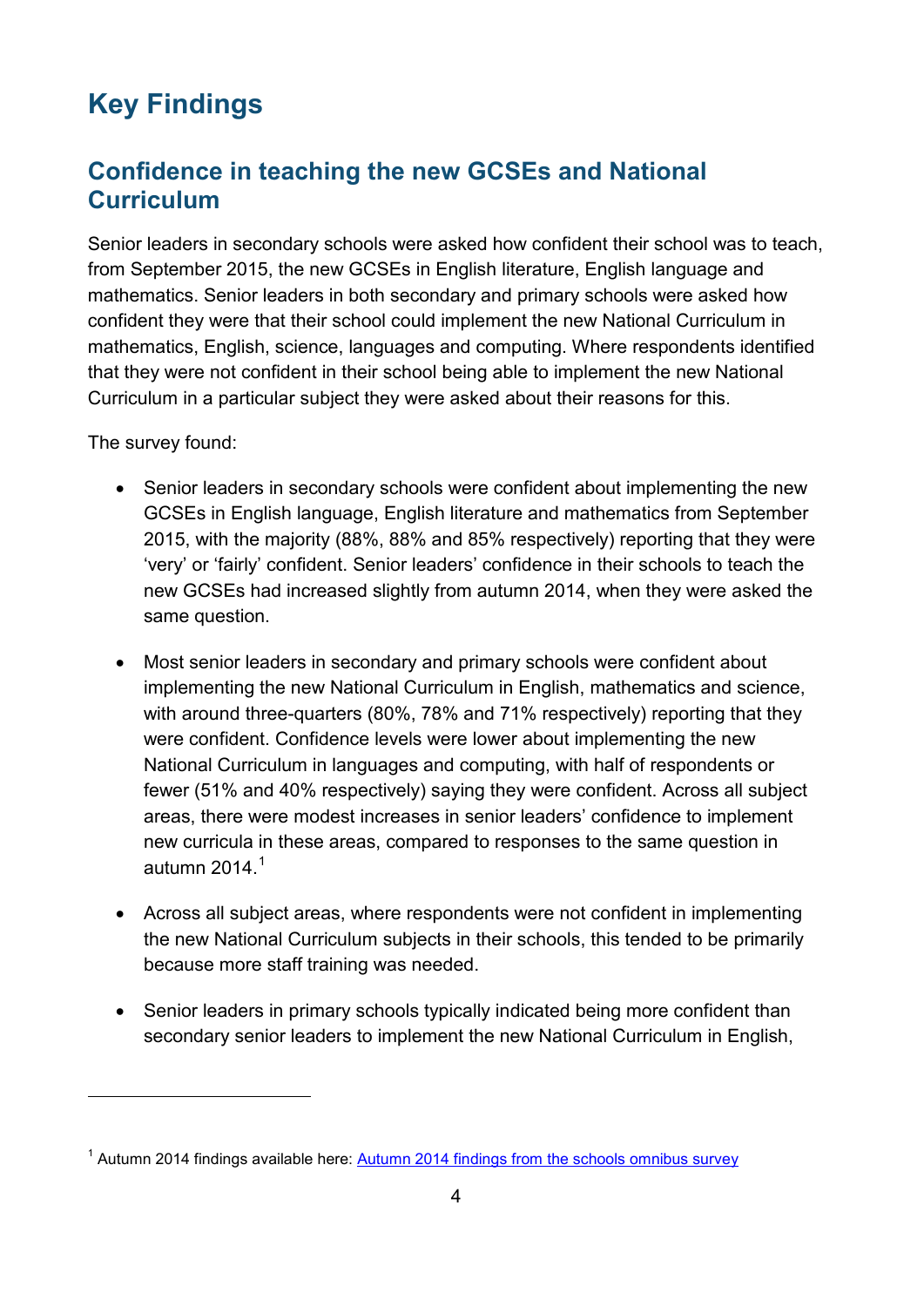# <span id="page-3-0"></span>**Key Findings**

#### <span id="page-3-1"></span>**Confidence in teaching the new GCSEs and National Curriculum**

Senior leaders in secondary schools were asked how confident their school was to teach, from September 2015, the new GCSEs in English literature, English language and mathematics. Senior leaders in both secondary and primary schools were asked how confident they were that their school could implement the new National Curriculum in mathematics, English, science, languages and computing. Where respondents identified that they were not confident in their school being able to implement the new National Curriculum in a particular subject they were asked about their reasons for this.

The survey found:

- Senior leaders in secondary schools were confident about implementing the new GCSEs in English language, English literature and mathematics from September 2015, with the majority (88%, 88% and 85% respectively) reporting that they were 'very' or 'fairly' confident. Senior leaders' confidence in their schools to teach the new GCSEs had increased slightly from autumn 2014, when they were asked the same question.
- Most senior leaders in secondary and primary schools were confident about implementing the new National Curriculum in English, mathematics and science, with around three-quarters (80%, 78% and 71% respectively) reporting that they were confident. Confidence levels were lower about implementing the new National Curriculum in languages and computing, with half of respondents or fewer (51% and 40% respectively) saying they were confident. Across all subject areas, there were modest increases in senior leaders' confidence to implement new curricula in these areas, compared to responses to the same question in autumn 20[1](#page-3-2)4 $<sup>1</sup>$ </sup>
- Across all subject areas, where respondents were not confident in implementing the new National Curriculum subjects in their schools, this tended to be primarily because more staff training was needed.
- Senior leaders in primary schools typically indicated being more confident than secondary senior leaders to implement the new National Curriculum in English,

<span id="page-3-2"></span><sup>&</sup>lt;sup>1</sup> Autumn 2014 findings available here: **Autumn 2014 findings from the schools omnibus survey**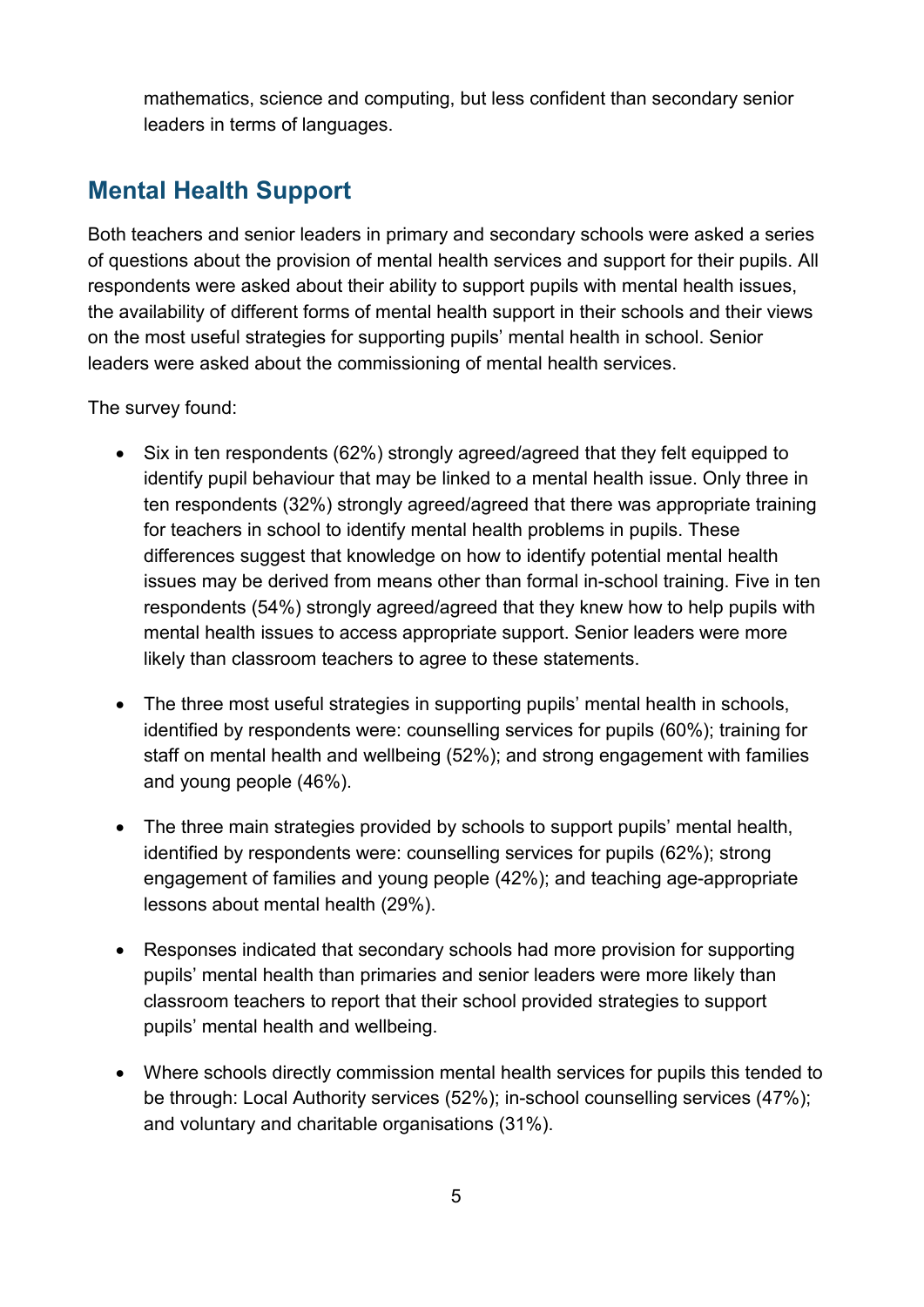mathematics, science and computing, but less confident than secondary senior leaders in terms of languages.

#### <span id="page-4-0"></span>**Mental Health Support**

Both teachers and senior leaders in primary and secondary schools were asked a series of questions about the provision of mental health services and support for their pupils. All respondents were asked about their ability to support pupils with mental health issues, the availability of different forms of mental health support in their schools and their views on the most useful strategies for supporting pupils' mental health in school. Senior leaders were asked about the commissioning of mental health services.

The survey found:

- Six in ten respondents (62%) strongly agreed/agreed that they felt equipped to identify pupil behaviour that may be linked to a mental health issue. Only three in ten respondents (32%) strongly agreed/agreed that there was appropriate training for teachers in school to identify mental health problems in pupils. These differences suggest that knowledge on how to identify potential mental health issues may be derived from means other than formal in-school training. Five in ten respondents (54%) strongly agreed/agreed that they knew how to help pupils with mental health issues to access appropriate support. Senior leaders were more likely than classroom teachers to agree to these statements.
- The three most useful strategies in supporting pupils' mental health in schools, identified by respondents were: counselling services for pupils (60%); training for staff on mental health and wellbeing (52%); and strong engagement with families and young people (46%).
- The three main strategies provided by schools to support pupils' mental health, identified by respondents were: counselling services for pupils (62%); strong engagement of families and young people (42%); and teaching age-appropriate lessons about mental health (29%).
- Responses indicated that secondary schools had more provision for supporting pupils' mental health than primaries and senior leaders were more likely than classroom teachers to report that their school provided strategies to support pupils' mental health and wellbeing.
- Where schools directly commission mental health services for pupils this tended to be through: Local Authority services (52%); in-school counselling services (47%); and voluntary and charitable organisations (31%).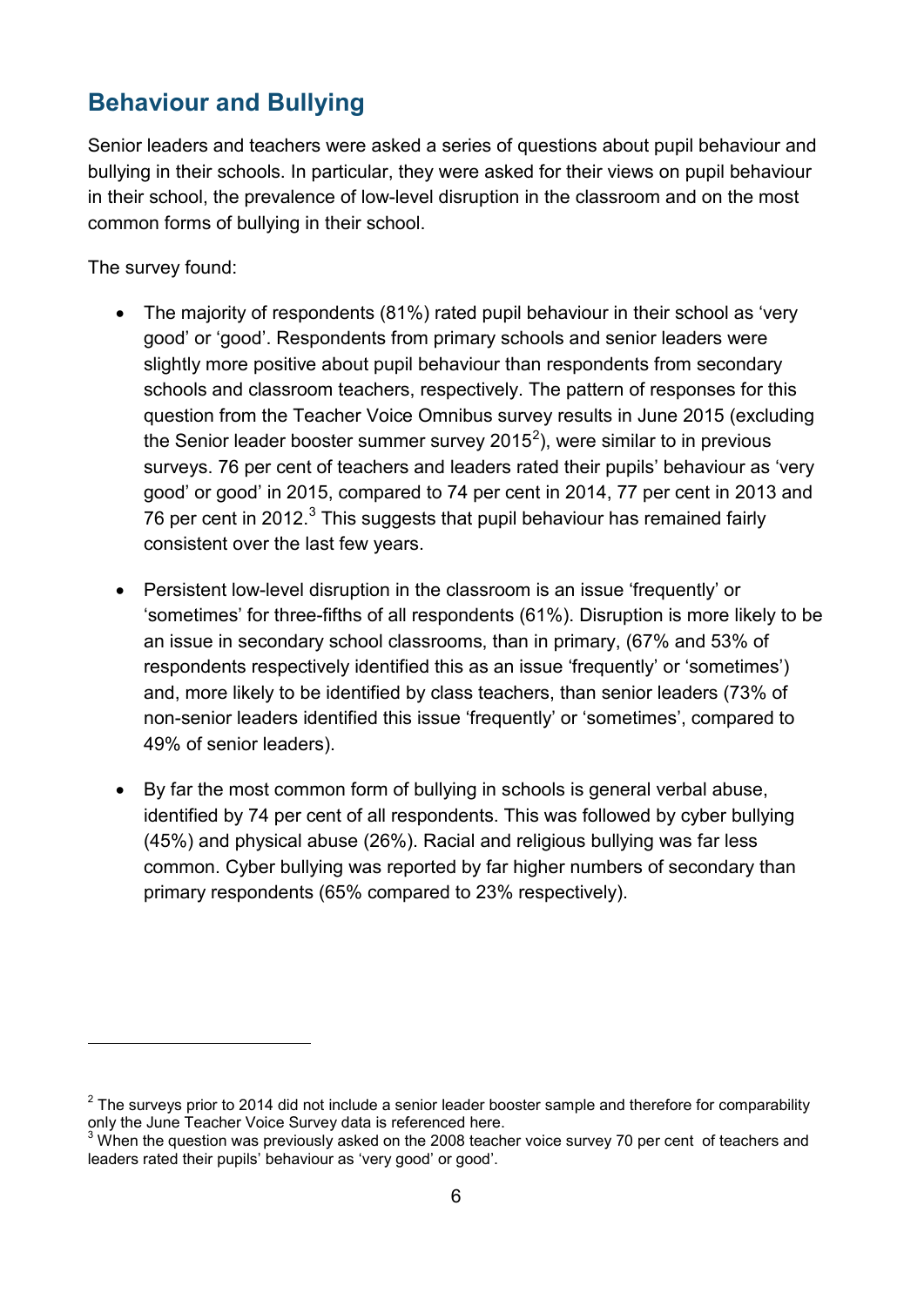#### <span id="page-5-0"></span>**Behaviour and Bullying**

Senior leaders and teachers were asked a series of questions about pupil behaviour and bullying in their schools. In particular, they were asked for their views on pupil behaviour in their school, the prevalence of low-level disruption in the classroom and on the most common forms of bullying in their school.

The survey found:

- The majority of respondents (81%) rated pupil behaviour in their school as 'very good' or 'good'. Respondents from primary schools and senior leaders were slightly more positive about pupil behaviour than respondents from secondary schools and classroom teachers, respectively. The pattern of responses for this question from the Teacher Voice Omnibus survey results in June 2015 (excluding the Senior leader booster summer survey [2](#page-5-1)015<sup>2</sup>), were similar to in previous surveys. 76 per cent of teachers and leaders rated their pupils' behaviour as 'very good' or good' in 2015, compared to 74 per cent in 2014, 77 per cent in 2013 and 76 per cent in 2012. $3$  This suggests that pupil behaviour has remained fairly consistent over the last few years.
- Persistent low-level disruption in the classroom is an issue 'frequently' or 'sometimes' for three-fifths of all respondents (61%). Disruption is more likely to be an issue in secondary school classrooms, than in primary, (67% and 53% of respondents respectively identified this as an issue 'frequently' or 'sometimes') and, more likely to be identified by class teachers, than senior leaders (73% of non-senior leaders identified this issue 'frequently' or 'sometimes', compared to 49% of senior leaders).
- By far the most common form of bullying in schools is general verbal abuse, identified by 74 per cent of all respondents. This was followed by cyber bullying (45%) and physical abuse (26%). Racial and religious bullying was far less common. Cyber bullying was reported by far higher numbers of secondary than primary respondents (65% compared to 23% respectively).

<span id="page-5-1"></span> $2$  The surveys prior to 2014 did not include a senior leader booster sample and therefore for comparability only the June Teacher Voice Survey data is referenced here.

<span id="page-5-2"></span> $3$  When the question was previously asked on the 2008 teacher voice survey 70 per cent of teachers and leaders rated their pupils' behaviour as 'very good' or good'.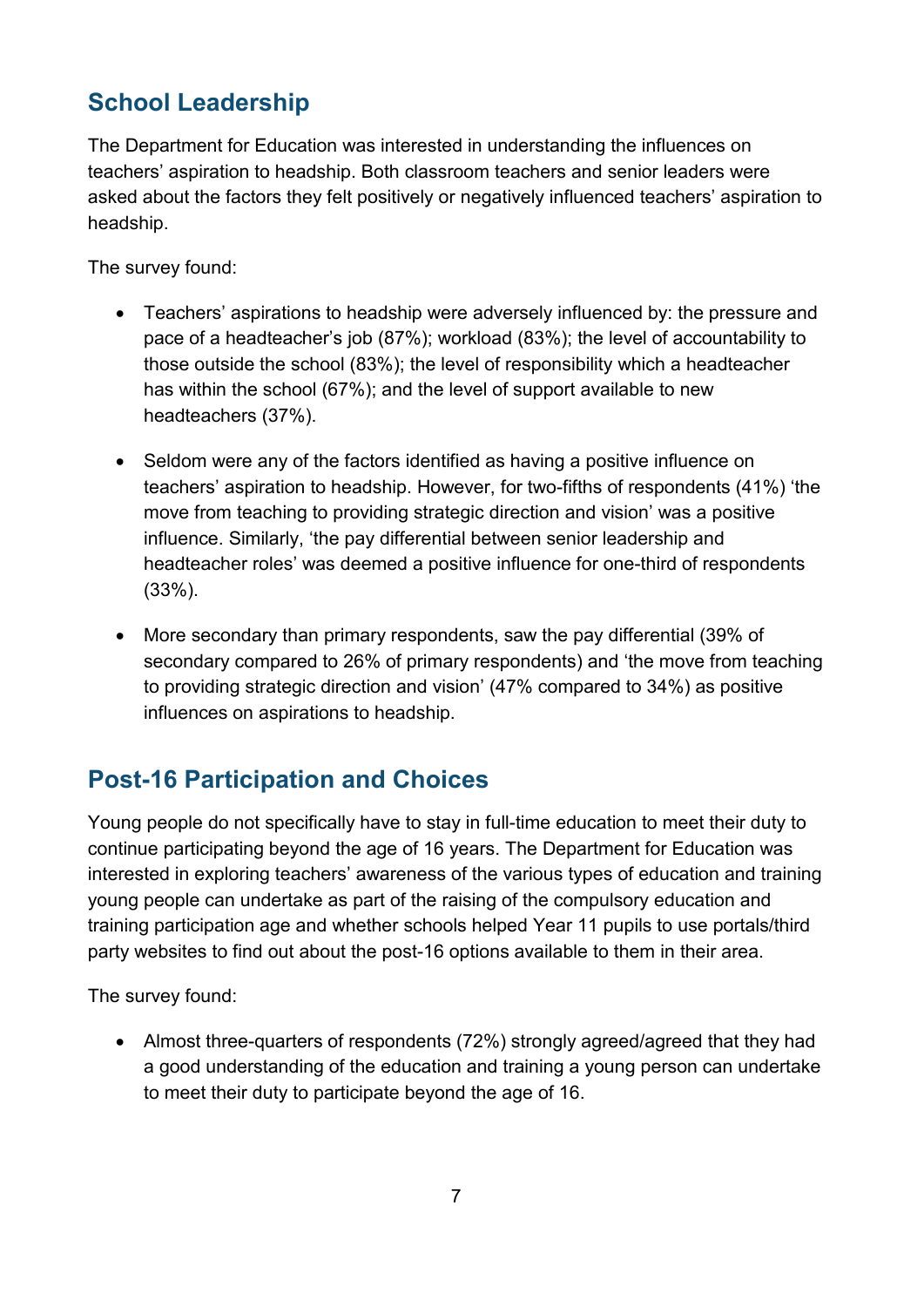#### <span id="page-6-0"></span>**School Leadership**

The Department for Education was interested in understanding the influences on teachers' aspiration to headship. Both classroom teachers and senior leaders were asked about the factors they felt positively or negatively influenced teachers' aspiration to headship.

The survey found:

- Teachers' aspirations to headship were adversely influenced by: the pressure and pace of a headteacher's job (87%); workload (83%); the level of accountability to those outside the school (83%); the level of responsibility which a headteacher has within the school (67%); and the level of support available to new headteachers (37%).
- Seldom were any of the factors identified as having a positive influence on teachers' aspiration to headship. However, for two-fifths of respondents (41%) 'the move from teaching to providing strategic direction and vision' was a positive influence. Similarly, 'the pay differential between senior leadership and headteacher roles' was deemed a positive influence for one-third of respondents (33%).
- More secondary than primary respondents, saw the pay differential (39% of secondary compared to 26% of primary respondents) and 'the move from teaching to providing strategic direction and vision' (47% compared to 34%) as positive influences on aspirations to headship.

### <span id="page-6-1"></span>**Post-16 Participation and Choices**

Young people do not specifically have to stay in full-time education to meet their duty to continue participating beyond the age of 16 years. The Department for Education was interested in exploring teachers' awareness of the various types of education and training young people can undertake as part of the raising of the compulsory education and training participation age and whether schools helped Year 11 pupils to use portals/third party websites to find out about the post-16 options available to them in their area.

The survey found:

• Almost three-quarters of respondents (72%) strongly agreed/agreed that they had a good understanding of the education and training a young person can undertake to meet their duty to participate beyond the age of 16.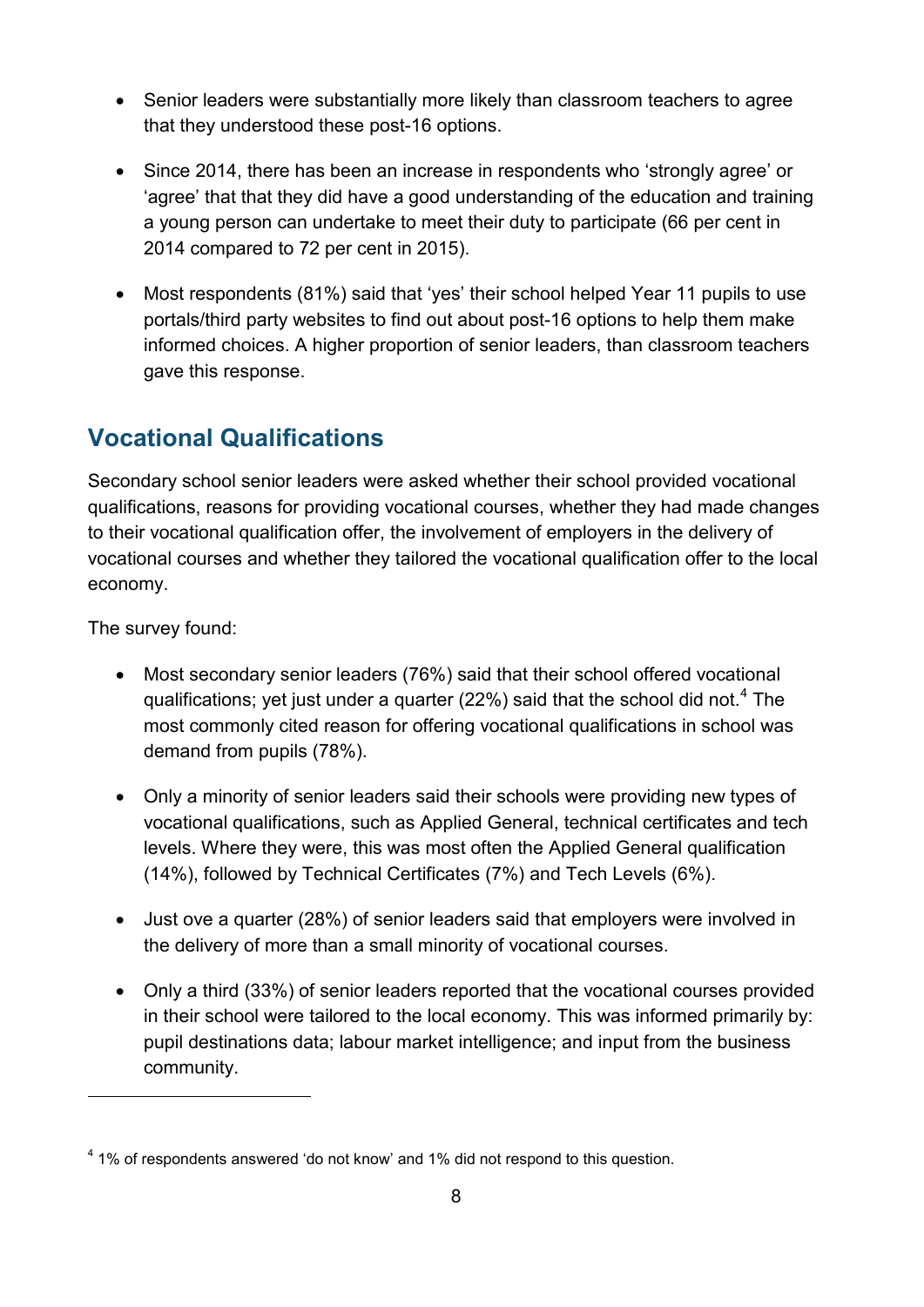- Senior leaders were substantially more likely than classroom teachers to agree that they understood these post-16 options.
- Since 2014, there has been an increase in respondents who 'strongly agree' or 'agree' that that they did have a good understanding of the education and training a young person can undertake to meet their duty to participate (66 per cent in 2014 compared to 72 per cent in 2015).
- Most respondents (81%) said that 'yes' their school helped Year 11 pupils to use portals/third party websites to find out about post-16 options to help them make informed choices. A higher proportion of senior leaders, than classroom teachers gave this response.

#### <span id="page-7-0"></span>**Vocational Qualifications**

Secondary school senior leaders were asked whether their school provided vocational qualifications, reasons for providing vocational courses, whether they had made changes to their vocational qualification offer, the involvement of employers in the delivery of vocational courses and whether they tailored the vocational qualification offer to the local economy.

The survey found:

- Most secondary senior leaders (76%) said that their school offered vocational qualifications; yet just under a quarter (22%) said that the school did not.<sup>[4](#page-7-1)</sup> The most commonly cited reason for offering vocational qualifications in school was demand from pupils (78%).
- Only a minority of senior leaders said their schools were providing new types of vocational qualifications, such as Applied General, technical certificates and tech levels. Where they were, this was most often the Applied General qualification (14%), followed by Technical Certificates (7%) and Tech Levels (6%).
- Just ove a quarter (28%) of senior leaders said that employers were involved in the delivery of more than a small minority of vocational courses.
- Only a third (33%) of senior leaders reported that the vocational courses provided in their school were tailored to the local economy. This was informed primarily by: pupil destinations data; labour market intelligence; and input from the business community.

<span id="page-7-1"></span><sup>4</sup> 1% of respondents answered 'do not know' and 1% did not respond to this question.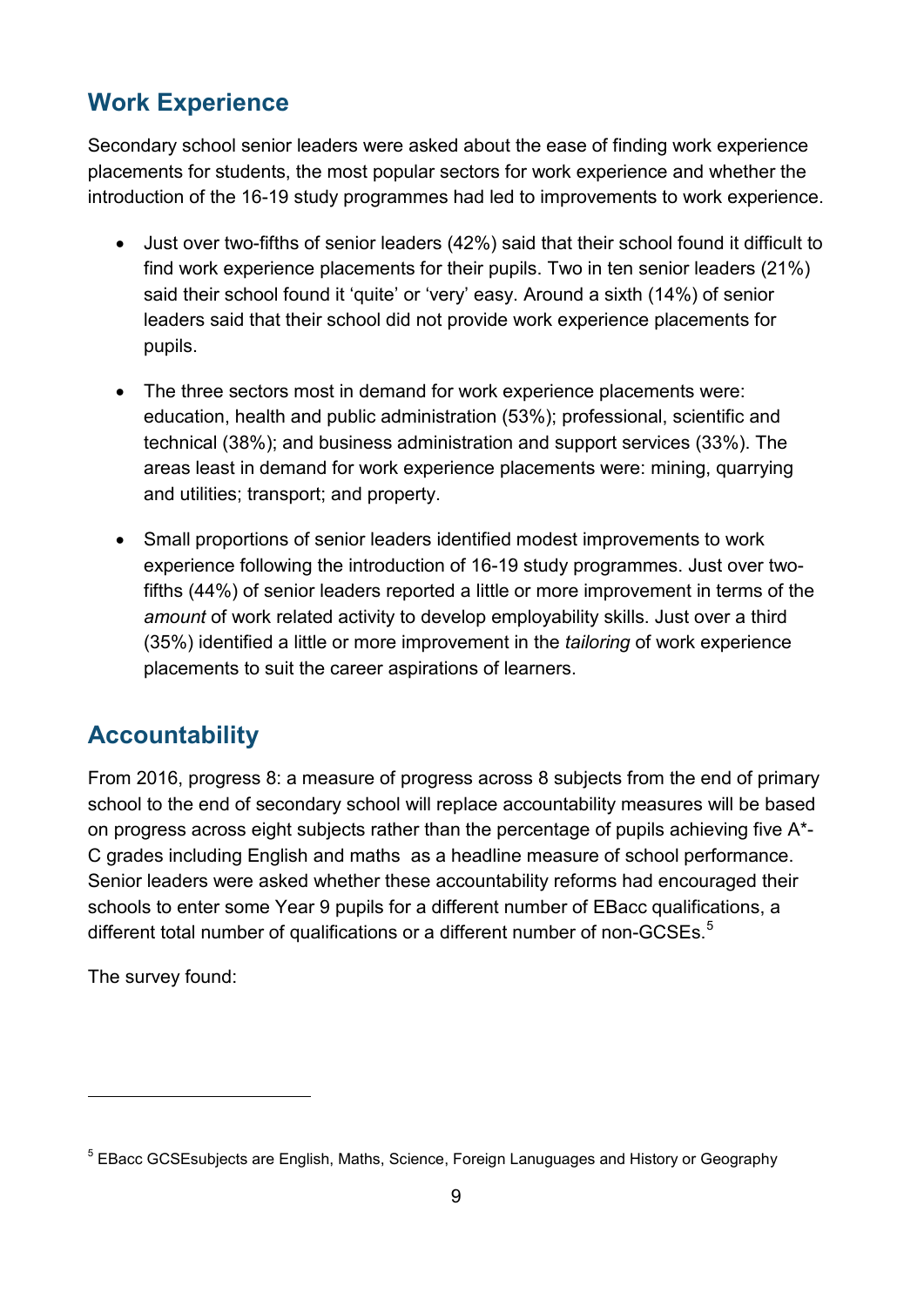#### <span id="page-8-0"></span>**Work Experience**

Secondary school senior leaders were asked about the ease of finding work experience placements for students, the most popular sectors for work experience and whether the introduction of the 16-19 study programmes had led to improvements to work experience.

- Just over two-fifths of senior leaders (42%) said that their school found it difficult to find work experience placements for their pupils. Two in ten senior leaders (21%) said their school found it 'quite' or 'very' easy. Around a sixth (14%) of senior leaders said that their school did not provide work experience placements for pupils.
- The three sectors most in demand for work experience placements were: education, health and public administration (53%); professional, scientific and technical (38%); and business administration and support services (33%). The areas least in demand for work experience placements were: mining, quarrying and utilities; transport; and property.
- Small proportions of senior leaders identified modest improvements to work experience following the introduction of 16-19 study programmes. Just over twofifths (44%) of senior leaders reported a little or more improvement in terms of the *amount* of work related activity to develop employability skills. Just over a third (35%) identified a little or more improvement in the *tailoring* of work experience placements to suit the career aspirations of learners.

#### <span id="page-8-1"></span>**Accountability**

From 2016, progress 8: a measure of progress across 8 subjects from the end of primary school to the end of secondary school will replace accountability measures will be based on progress across eight subjects rather than the percentage of pupils achieving five A\*- C grades including English and maths as a headline measure of school performance. Senior leaders were asked whether these accountability reforms had encouraged their schools to enter some Year 9 pupils for a different number of EBacc qualifications, a different total number of qualifications or a different number of non-GCSEs.<sup>[5](#page-8-2)</sup>

The survey found:

<span id="page-8-2"></span><sup>&</sup>lt;sup>5</sup> EBacc GCSEsubjects are English, Maths, Science, Foreign Lanuguages and History or Geography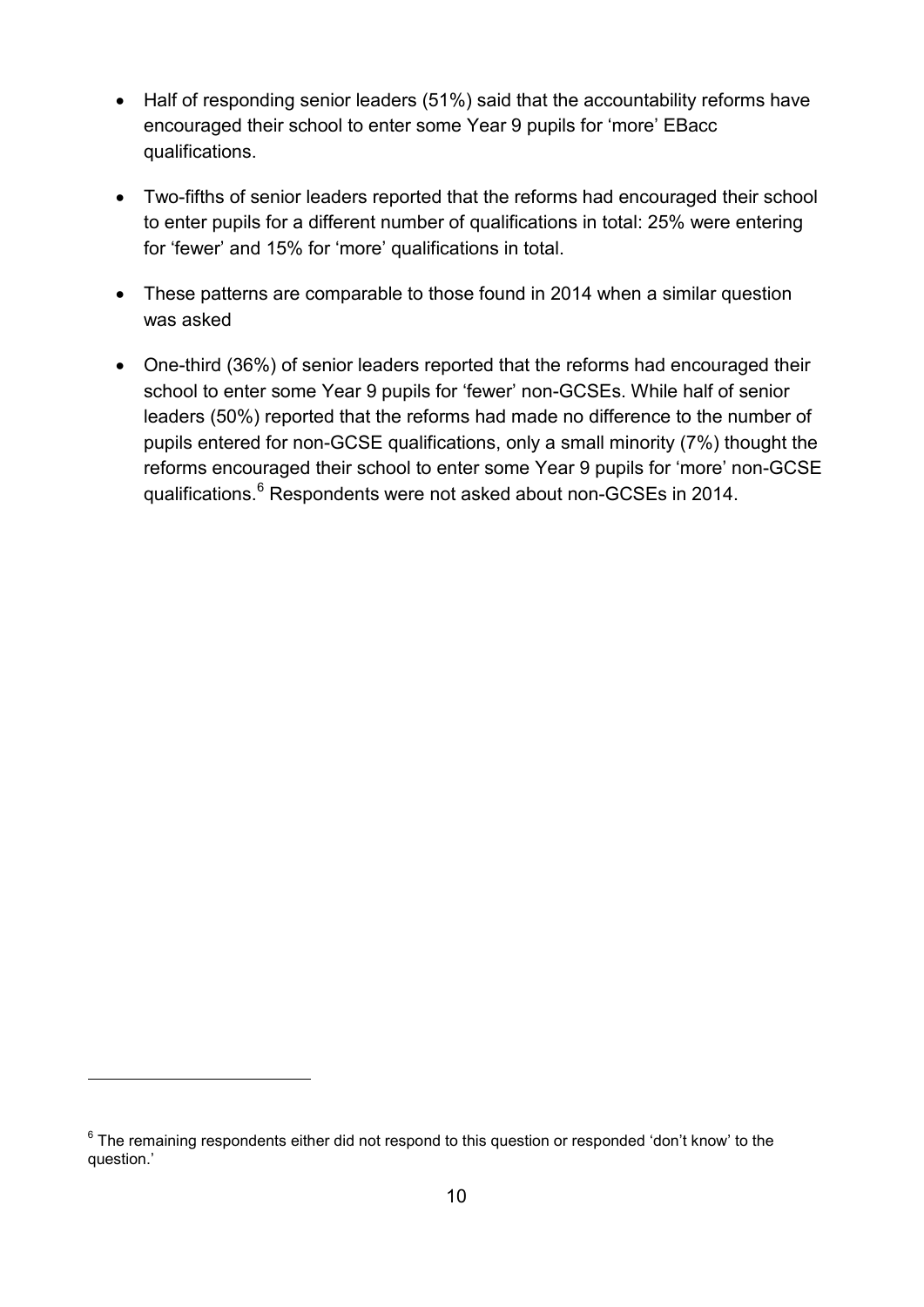- Half of responding senior leaders (51%) said that the accountability reforms have encouraged their school to enter some Year 9 pupils for 'more' EBacc qualifications.
- Two-fifths of senior leaders reported that the reforms had encouraged their school to enter pupils for a different number of qualifications in total: 25% were entering for 'fewer' and 15% for 'more' qualifications in total.
- These patterns are comparable to those found in 2014 when a similar question was asked
- One-third (36%) of senior leaders reported that the reforms had encouraged their school to enter some Year 9 pupils for 'fewer' non-GCSEs. While half of senior leaders (50%) reported that the reforms had made no difference to the number of pupils entered for non-GCSE qualifications, only a small minority (7%) thought the reforms encouraged their school to enter some Year 9 pupils for 'more' non-GCSE qualifications.<sup>[6](#page-9-0)</sup> Respondents were not asked about non-GCSEs in 2014.

-

<span id="page-9-0"></span> $6$  The remaining respondents either did not respond to this question or responded 'don't know' to the question.'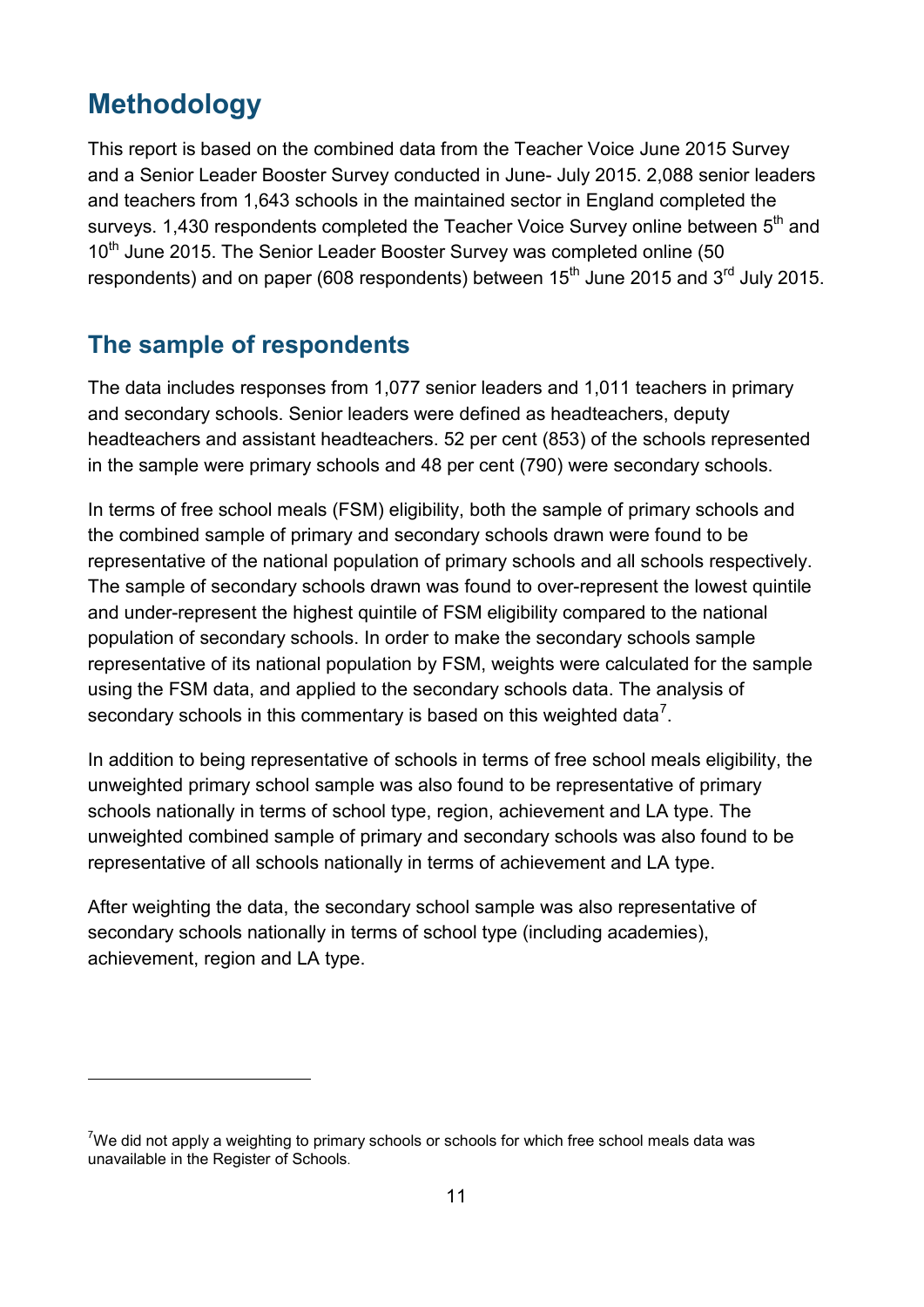## <span id="page-10-0"></span>**Methodology**

-

This report is based on the combined data from the Teacher Voice June 2015 Survey and a Senior Leader Booster Survey conducted in June- July 2015. 2,088 senior leaders and teachers from 1,643 schools in the maintained sector in England completed the surveys. 1,430 respondents completed the Teacher Voice Survey online between  $5<sup>th</sup>$  and 10<sup>th</sup> June 2015. The Senior Leader Booster Survey was completed online (50 respondents) and on paper (608 respondents) between  $15<sup>th</sup>$  June 2015 and  $3<sup>rd</sup>$  July 2015.

#### <span id="page-10-1"></span>**The sample of respondents**

The data includes responses from 1,077 senior leaders and 1,011 teachers in primary and secondary schools. Senior leaders were defined as headteachers, deputy headteachers and assistant headteachers. 52 per cent (853) of the schools represented in the sample were primary schools and 48 per cent (790) were secondary schools.

In terms of free school meals (FSM) eligibility, both the sample of primary schools and the combined sample of primary and secondary schools drawn were found to be representative of the national population of primary schools and all schools respectively. The sample of secondary schools drawn was found to over-represent the lowest quintile and under-represent the highest quintile of FSM eligibility compared to the national population of secondary schools. In order to make the secondary schools sample representative of its national population by FSM, weights were calculated for the sample using the FSM data, and applied to the secondary schools data. The analysis of secondary schools in this commentary is based on this weighted data<sup>[7](#page-10-2)</sup>.

In addition to being representative of schools in terms of free school meals eligibility, the unweighted primary school sample was also found to be representative of primary schools nationally in terms of school type, region, achievement and LA type. The unweighted combined sample of primary and secondary schools was also found to be representative of all schools nationally in terms of achievement and LA type.

After weighting the data, the secondary school sample was also representative of secondary schools nationally in terms of school type (including academies), achievement, region and LA type.

<span id="page-10-2"></span> $7$ We did not apply a weighting to primary schools or schools for which free school meals data was unavailable in the Register of Schools.